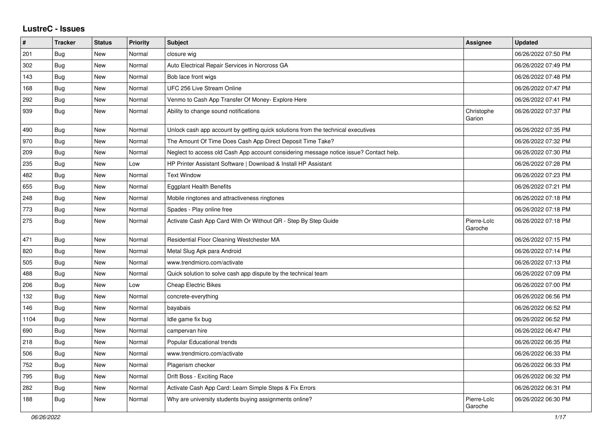## **LustreC - Issues**

| $\vert$ # | <b>Tracker</b> | <b>Status</b> | <b>Priority</b> | <b>Subject</b>                                                                         | <b>Assignee</b>        | <b>Updated</b>      |
|-----------|----------------|---------------|-----------------|----------------------------------------------------------------------------------------|------------------------|---------------------|
| 201       | <b>Bug</b>     | New           | Normal          | closure wig                                                                            |                        | 06/26/2022 07:50 PM |
| 302       | Bug            | <b>New</b>    | Normal          | Auto Electrical Repair Services in Norcross GA                                         |                        | 06/26/2022 07:49 PM |
| 143       | <b>Bug</b>     | <b>New</b>    | Normal          | Bob lace front wigs                                                                    |                        | 06/26/2022 07:48 PM |
| 168       | <b>Bug</b>     | New           | Normal          | UFC 256 Live Stream Online                                                             |                        | 06/26/2022 07:47 PM |
| 292       | Bug            | New           | Normal          | Venmo to Cash App Transfer Of Money- Explore Here                                      |                        | 06/26/2022 07:41 PM |
| 939       | Bug            | New           | Normal          | Ability to change sound notifications                                                  | Christophe<br>Garion   | 06/26/2022 07:37 PM |
| 490       | Bug            | <b>New</b>    | Normal          | Unlock cash app account by getting quick solutions from the technical executives       |                        | 06/26/2022 07:35 PM |
| 970       | <b>Bug</b>     | <b>New</b>    | Normal          | The Amount Of Time Does Cash App Direct Deposit Time Take?                             |                        | 06/26/2022 07:32 PM |
| 209       | <b>Bug</b>     | <b>New</b>    | Normal          | Neglect to access old Cash App account considering message notice issue? Contact help. |                        | 06/26/2022 07:30 PM |
| 235       | Bug            | New           | Low             | HP Printer Assistant Software   Download & Install HP Assistant                        |                        | 06/26/2022 07:28 PM |
| 482       | Bug            | <b>New</b>    | Normal          | <b>Text Window</b>                                                                     |                        | 06/26/2022 07:23 PM |
| 655       | <b>Bug</b>     | <b>New</b>    | Normal          | <b>Eggplant Health Benefits</b>                                                        |                        | 06/26/2022 07:21 PM |
| 248       | <b>Bug</b>     | New           | Normal          | Mobile ringtones and attractiveness ringtones                                          |                        | 06/26/2022 07:18 PM |
| 773       | <b>Bug</b>     | New           | Normal          | Spades - Play online free                                                              |                        | 06/26/2022 07:18 PM |
| 275       | Bug            | New           | Normal          | Activate Cash App Card With Or Without QR - Step By Step Guide                         | Pierre-Loïc<br>Garoche | 06/26/2022 07:18 PM |
| 471       | Bug            | New           | Normal          | Residential Floor Cleaning Westchester MA                                              |                        | 06/26/2022 07:15 PM |
| 820       | Bug            | <b>New</b>    | Normal          | Metal Slug Apk para Android                                                            |                        | 06/26/2022 07:14 PM |
| 505       | <b>Bug</b>     | <b>New</b>    | Normal          | www.trendmicro.com/activate                                                            |                        | 06/26/2022 07:13 PM |
| 488       | Bug            | New           | Normal          | Quick solution to solve cash app dispute by the technical team                         |                        | 06/26/2022 07:09 PM |
| 206       | Bug            | <b>New</b>    | Low             | <b>Cheap Electric Bikes</b>                                                            |                        | 06/26/2022 07:00 PM |
| 132       | <b>Bug</b>     | <b>New</b>    | Normal          | concrete-everything                                                                    |                        | 06/26/2022 06:56 PM |
| 146       | <b>Bug</b>     | New           | Normal          | bayabais                                                                               |                        | 06/26/2022 06:52 PM |
| 1104      | Bug            | New           | Normal          | Idle game fix bug                                                                      |                        | 06/26/2022 06:52 PM |
| 690       | Bug            | <b>New</b>    | Normal          | campervan hire                                                                         |                        | 06/26/2022 06:47 PM |
| 218       | Bug            | <b>New</b>    | Normal          | Popular Educational trends                                                             |                        | 06/26/2022 06:35 PM |
| 506       | Bug            | New           | Normal          | www.trendmicro.com/activate                                                            |                        | 06/26/2022 06:33 PM |
| 752       | Bug            | <b>New</b>    | Normal          | Plagerism checker                                                                      |                        | 06/26/2022 06:33 PM |
| 795       | <b>Bug</b>     | <b>New</b>    | Normal          | Drift Boss - Exciting Race                                                             |                        | 06/26/2022 06:32 PM |
| 282       | <b>Bug</b>     | New           | Normal          | Activate Cash App Card: Learn Simple Steps & Fix Errors                                |                        | 06/26/2022 06:31 PM |
| 188       | Bug            | <b>New</b>    | Normal          | Why are university students buying assignments online?                                 | Pierre-Loïc<br>Garoche | 06/26/2022 06:30 PM |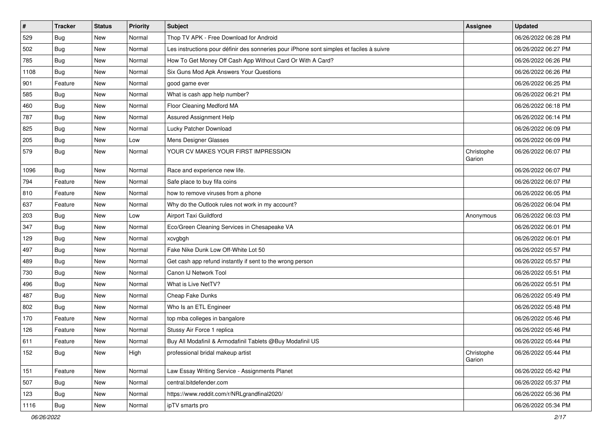| $\sharp$ | <b>Tracker</b> | <b>Status</b> | <b>Priority</b> | <b>Subject</b>                                                                           | <b>Assignee</b>      | <b>Updated</b>      |
|----------|----------------|---------------|-----------------|------------------------------------------------------------------------------------------|----------------------|---------------------|
| 529      | <b>Bug</b>     | New           | Normal          | Thop TV APK - Free Download for Android                                                  |                      | 06/26/2022 06:28 PM |
| 502      | Bug            | New           | Normal          | Les instructions pour définir des sonneries pour iPhone sont simples et faciles à suivre |                      | 06/26/2022 06:27 PM |
| 785      | Bug            | New           | Normal          | How To Get Money Off Cash App Without Card Or With A Card?                               |                      | 06/26/2022 06:26 PM |
| 1108     | <b>Bug</b>     | New           | Normal          | Six Guns Mod Apk Answers Your Questions                                                  |                      | 06/26/2022 06:26 PM |
| 901      | Feature        | New           | Normal          | good game ever                                                                           |                      | 06/26/2022 06:25 PM |
| 585      | Bug            | New           | Normal          | What is cash app help number?                                                            |                      | 06/26/2022 06:21 PM |
| 460      | Bug            | New           | Normal          | Floor Cleaning Medford MA                                                                |                      | 06/26/2022 06:18 PM |
| 787      | <b>Bug</b>     | New           | Normal          | Assured Assignment Help                                                                  |                      | 06/26/2022 06:14 PM |
| 825      | Bug            | New           | Normal          | Lucky Patcher Download                                                                   |                      | 06/26/2022 06:09 PM |
| 205      | <b>Bug</b>     | New           | Low             | Mens Designer Glasses                                                                    |                      | 06/26/2022 06:09 PM |
| 579      | Bug            | New           | Normal          | YOUR CV MAKES YOUR FIRST IMPRESSION                                                      | Christophe<br>Garion | 06/26/2022 06:07 PM |
| 1096     | Bug            | New           | Normal          | Race and experience new life.                                                            |                      | 06/26/2022 06:07 PM |
| 794      | Feature        | New           | Normal          | Safe place to buy fifa coins                                                             |                      | 06/26/2022 06:07 PM |
| 810      | Feature        | New           | Normal          | how to remove viruses from a phone                                                       |                      | 06/26/2022 06:05 PM |
| 637      | Feature        | New           | Normal          | Why do the Outlook rules not work in my account?                                         |                      | 06/26/2022 06:04 PM |
| 203      | Bug            | New           | Low             | <b>Airport Taxi Guildford</b>                                                            | Anonymous            | 06/26/2022 06:03 PM |
| 347      | Bug            | New           | Normal          | Eco/Green Cleaning Services in Chesapeake VA                                             |                      | 06/26/2022 06:01 PM |
| 129      | <b>Bug</b>     | New           | Normal          | xcvgbgh                                                                                  |                      | 06/26/2022 06:01 PM |
| 497      | Bug            | New           | Normal          | Fake Nike Dunk Low Off-White Lot 50                                                      |                      | 06/26/2022 05:57 PM |
| 489      | Bug            | New           | Normal          | Get cash app refund instantly if sent to the wrong person                                |                      | 06/26/2022 05:57 PM |
| 730      | <b>Bug</b>     | New           | Normal          | Canon IJ Network Tool                                                                    |                      | 06/26/2022 05:51 PM |
| 496      | <b>Bug</b>     | New           | Normal          | What is Live NetTV?                                                                      |                      | 06/26/2022 05:51 PM |
| 487      | Bug            | New           | Normal          | Cheap Fake Dunks                                                                         |                      | 06/26/2022 05:49 PM |
| 802      | <b>Bug</b>     | New           | Normal          | Who Is an ETL Engineer                                                                   |                      | 06/26/2022 05:48 PM |
| 170      | Feature        | New           | Normal          | top mba colleges in bangalore                                                            |                      | 06/26/2022 05:46 PM |
| 126      | Feature        | New           | Normal          | Stussy Air Force 1 replica                                                               |                      | 06/26/2022 05:46 PM |
| 611      | Feature        | New           | Normal          | Buy All Modafinil & Armodafinil Tablets @Buy Modafinil US                                |                      | 06/26/2022 05:44 PM |
| 152      | <b>Bug</b>     | New           | High            | professional bridal makeup artist                                                        | Christophe<br>Garion | 06/26/2022 05:44 PM |
| 151      | Feature        | New           | Normal          | Law Essay Writing Service - Assignments Planet                                           |                      | 06/26/2022 05:42 PM |
| 507      | <b>Bug</b>     | New           | Normal          | central.bitdefender.com                                                                  |                      | 06/26/2022 05:37 PM |
| 123      | <b>Bug</b>     | New           | Normal          | https://www.reddit.com/r/NRLgrandfinal2020/                                              |                      | 06/26/2022 05:36 PM |
| 1116     | <b>Bug</b>     | New           | Normal          | ipTV smarts pro                                                                          |                      | 06/26/2022 05:34 PM |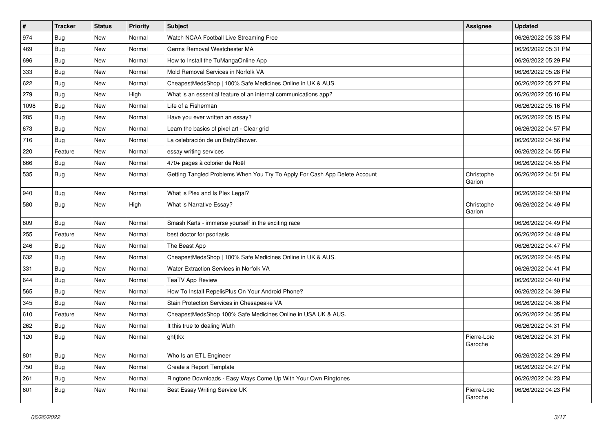| $\vert$ # | <b>Tracker</b> | <b>Status</b> | <b>Priority</b> | Subject                                                                    | <b>Assignee</b>        | <b>Updated</b>      |
|-----------|----------------|---------------|-----------------|----------------------------------------------------------------------------|------------------------|---------------------|
| 974       | <b>Bug</b>     | New           | Normal          | Watch NCAA Football Live Streaming Free                                    |                        | 06/26/2022 05:33 PM |
| 469       | Bug            | <b>New</b>    | Normal          | Germs Removal Westchester MA                                               |                        | 06/26/2022 05:31 PM |
| 696       | <b>Bug</b>     | New           | Normal          | How to Install the TuMangaOnline App                                       |                        | 06/26/2022 05:29 PM |
| 333       | Bug            | New           | Normal          | Mold Removal Services in Norfolk VA                                        |                        | 06/26/2022 05:28 PM |
| 622       | Bug            | New           | Normal          | CheapestMedsShop   100% Safe Medicines Online in UK & AUS.                 |                        | 06/26/2022 05:27 PM |
| 279       | Bug            | New           | High            | What is an essential feature of an internal communications app?            |                        | 06/26/2022 05:16 PM |
| 1098      | Bug            | New           | Normal          | Life of a Fisherman                                                        |                        | 06/26/2022 05:16 PM |
| 285       | Bug            | New           | Normal          | Have you ever written an essay?                                            |                        | 06/26/2022 05:15 PM |
| 673       | <b>Bug</b>     | <b>New</b>    | Normal          | Learn the basics of pixel art - Clear grid                                 |                        | 06/26/2022 04:57 PM |
| 716       | Bug            | New           | Normal          | La celebración de un BabyShower.                                           |                        | 06/26/2022 04:56 PM |
| 220       | Feature        | New           | Normal          | essay writing services                                                     |                        | 06/26/2022 04:55 PM |
| 666       | Bug            | New           | Normal          | 470+ pages à colorier de Noël                                              |                        | 06/26/2022 04:55 PM |
| 535       | Bug            | New           | Normal          | Getting Tangled Problems When You Try To Apply For Cash App Delete Account | Christophe<br>Garion   | 06/26/2022 04:51 PM |
| 940       | Bug            | <b>New</b>    | Normal          | What is Plex and Is Plex Legal?                                            |                        | 06/26/2022 04:50 PM |
| 580       | Bug            | New           | High            | What is Narrative Essay?                                                   | Christophe<br>Garion   | 06/26/2022 04:49 PM |
| 809       | Bug            | New           | Normal          | Smash Karts - immerse yourself in the exciting race                        |                        | 06/26/2022 04:49 PM |
| 255       | Feature        | New           | Normal          | best doctor for psoriasis                                                  |                        | 06/26/2022 04:49 PM |
| 246       | Bug            | New           | Normal          | The Beast App                                                              |                        | 06/26/2022 04:47 PM |
| 632       | Bug            | <b>New</b>    | Normal          | CheapestMedsShop   100% Safe Medicines Online in UK & AUS.                 |                        | 06/26/2022 04:45 PM |
| 331       | <b>Bug</b>     | New           | Normal          | Water Extraction Services in Norfolk VA                                    |                        | 06/26/2022 04:41 PM |
| 644       | Bug            | New           | Normal          | <b>TeaTV App Review</b>                                                    |                        | 06/26/2022 04:40 PM |
| 565       | Bug            | New           | Normal          | How To Install RepelisPlus On Your Android Phone?                          |                        | 06/26/2022 04:39 PM |
| 345       | <b>Bug</b>     | New           | Normal          | Stain Protection Services in Chesapeake VA                                 |                        | 06/26/2022 04:36 PM |
| 610       | Feature        | New           | Normal          | CheapestMedsShop 100% Safe Medicines Online in USA UK & AUS.               |                        | 06/26/2022 04:35 PM |
| 262       | Bug            | New           | Normal          | It this true to dealing Wuth                                               |                        | 06/26/2022 04:31 PM |
| 120       | Bug            | New           | Normal          | ghfjtkx                                                                    | Pierre-Loïc<br>Garoche | 06/26/2022 04:31 PM |
| 801       | Bug            | New           | Normal          | Who Is an ETL Engineer                                                     |                        | 06/26/2022 04:29 PM |
| 750       | Bug            | New           | Normal          | Create a Report Template                                                   |                        | 06/26/2022 04:27 PM |
| 261       | Bug            | New           | Normal          | Ringtone Downloads - Easy Ways Come Up With Your Own Ringtones             |                        | 06/26/2022 04:23 PM |
| 601       | Bug            | New           | Normal          | Best Essay Writing Service UK                                              | Pierre-Loïc<br>Garoche | 06/26/2022 04:23 PM |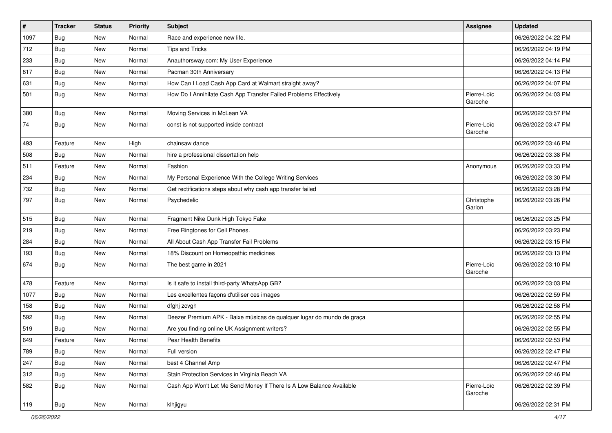| $\vert$ # | <b>Tracker</b> | <b>Status</b> | <b>Priority</b> | Subject                                                                | <b>Assignee</b>        | <b>Updated</b>      |
|-----------|----------------|---------------|-----------------|------------------------------------------------------------------------|------------------------|---------------------|
| 1097      | <b>Bug</b>     | New           | Normal          | Race and experience new life.                                          |                        | 06/26/2022 04:22 PM |
| 712       | Bug            | New           | Normal          | <b>Tips and Tricks</b>                                                 |                        | 06/26/2022 04:19 PM |
| 233       | <b>Bug</b>     | New           | Normal          | Anauthorsway.com: My User Experience                                   |                        | 06/26/2022 04:14 PM |
| 817       | <b>Bug</b>     | New           | Normal          | Pacman 30th Anniversary                                                |                        | 06/26/2022 04:13 PM |
| 631       | Bug            | New           | Normal          | How Can I Load Cash App Card at Walmart straight away?                 |                        | 06/26/2022 04:07 PM |
| 501       | Bug            | New           | Normal          | How Do I Annihilate Cash App Transfer Failed Problems Effectively      | Pierre-Loïc<br>Garoche | 06/26/2022 04:03 PM |
| 380       | Bug            | New           | Normal          | Moving Services in McLean VA                                           |                        | 06/26/2022 03:57 PM |
| 74        | <b>Bug</b>     | New           | Normal          | const is not supported inside contract                                 | Pierre-Loïc<br>Garoche | 06/26/2022 03:47 PM |
| 493       | Feature        | New           | High            | chainsaw dance                                                         |                        | 06/26/2022 03:46 PM |
| 508       | Bug            | New           | Normal          | hire a professional dissertation help                                  |                        | 06/26/2022 03:38 PM |
| 511       | Feature        | New           | Normal          | Fashion                                                                | Anonymous              | 06/26/2022 03:33 PM |
| 234       | Bug            | New           | Normal          | My Personal Experience With the College Writing Services               |                        | 06/26/2022 03:30 PM |
| 732       | Bug            | New           | Normal          | Get rectifications steps about why cash app transfer failed            |                        | 06/26/2022 03:28 PM |
| 797       | Bug            | New           | Normal          | Psychedelic                                                            | Christophe<br>Garion   | 06/26/2022 03:26 PM |
| 515       | Bug            | New           | Normal          | Fragment Nike Dunk High Tokyo Fake                                     |                        | 06/26/2022 03:25 PM |
| 219       | <b>Bug</b>     | New           | Normal          | Free Ringtones for Cell Phones.                                        |                        | 06/26/2022 03:23 PM |
| 284       | Bug            | New           | Normal          | All About Cash App Transfer Fail Problems                              |                        | 06/26/2022 03:15 PM |
| 193       | Bug            | <b>New</b>    | Normal          | 18% Discount on Homeopathic medicines                                  |                        | 06/26/2022 03:13 PM |
| 674       | Bug            | New           | Normal          | The best game in 2021                                                  | Pierre-Loïc<br>Garoche | 06/26/2022 03:10 PM |
| 478       | Feature        | New           | Normal          | Is it safe to install third-party WhatsApp GB?                         |                        | 06/26/2022 03:03 PM |
| 1077      | <b>Bug</b>     | New           | Normal          | Les excellentes façons d'utiliser ces images                           |                        | 06/26/2022 02:59 PM |
| 158       | Bug            | New           | Normal          | dfghj zcvgh                                                            |                        | 06/26/2022 02:58 PM |
| 592       | Bug            | New           | Normal          | Deezer Premium APK - Baixe músicas de qualquer lugar do mundo de graça |                        | 06/26/2022 02:55 PM |
| 519       | <b>Bug</b>     | New           | Normal          | Are you finding online UK Assignment writers?                          |                        | 06/26/2022 02:55 PM |
| 649       | Feature        | New           | Normal          | Pear Health Benefits                                                   |                        | 06/26/2022 02:53 PM |
| 789       | Bug            | New           | Normal          | Full version                                                           |                        | 06/26/2022 02:47 PM |
| 247       | Bug            | New           | Normal          | best 4 Channel Amp                                                     |                        | 06/26/2022 02:47 PM |
| 312       | <b>Bug</b>     | New           | Normal          | Stain Protection Services in Virginia Beach VA                         |                        | 06/26/2022 02:46 PM |
| 582       | Bug            | New           | Normal          | Cash App Won't Let Me Send Money If There Is A Low Balance Available   | Pierre-Loïc<br>Garoche | 06/26/2022 02:39 PM |
| 119       | Bug            | New           | Normal          | klhjigyu                                                               |                        | 06/26/2022 02:31 PM |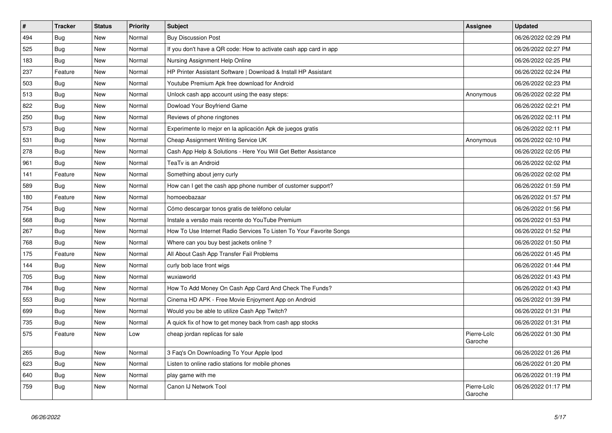| $\vert$ # | <b>Tracker</b> | <b>Status</b> | <b>Priority</b> | <b>Subject</b>                                                      | Assignee               | <b>Updated</b>      |
|-----------|----------------|---------------|-----------------|---------------------------------------------------------------------|------------------------|---------------------|
| 494       | <b>Bug</b>     | <b>New</b>    | Normal          | <b>Buy Discussion Post</b>                                          |                        | 06/26/2022 02:29 PM |
| 525       | Bug            | <b>New</b>    | Normal          | If you don't have a QR code: How to activate cash app card in app   |                        | 06/26/2022 02:27 PM |
| 183       | Bug            | <b>New</b>    | Normal          | Nursing Assignment Help Online                                      |                        | 06/26/2022 02:25 PM |
| 237       | Feature        | New           | Normal          | HP Printer Assistant Software   Download & Install HP Assistant     |                        | 06/26/2022 02:24 PM |
| 503       | <b>Bug</b>     | <b>New</b>    | Normal          | Youtube Premium Apk free download for Android                       |                        | 06/26/2022 02:23 PM |
| 513       | <b>Bug</b>     | <b>New</b>    | Normal          | Unlock cash app account using the easy steps:                       | Anonymous              | 06/26/2022 02:22 PM |
| 822       | <b>Bug</b>     | New           | Normal          | Dowload Your Boyfriend Game                                         |                        | 06/26/2022 02:21 PM |
| 250       | <b>Bug</b>     | New           | Normal          | Reviews of phone ringtones                                          |                        | 06/26/2022 02:11 PM |
| 573       | <b>Bug</b>     | New           | Normal          | Experimente lo mejor en la aplicación Apk de juegos gratis          |                        | 06/26/2022 02:11 PM |
| 531       | <b>Bug</b>     | <b>New</b>    | Normal          | Cheap Assignment Writing Service UK                                 | Anonymous              | 06/26/2022 02:10 PM |
| 278       | Bug            | New           | Normal          | Cash App Help & Solutions - Here You Will Get Better Assistance     |                        | 06/26/2022 02:05 PM |
| 961       | Bug            | New           | Normal          | TeaTv is an Android                                                 |                        | 06/26/2022 02:02 PM |
| 141       | Feature        | New           | Normal          | Something about jerry curly                                         |                        | 06/26/2022 02:02 PM |
| 589       | <b>Bug</b>     | New           | Normal          | How can I get the cash app phone number of customer support?        |                        | 06/26/2022 01:59 PM |
| 180       | Feature        | <b>New</b>    | Normal          | homoeobazaar                                                        |                        | 06/26/2022 01:57 PM |
| 754       | Bug            | New           | Normal          | Cómo descargar tonos gratis de teléfono celular                     |                        | 06/26/2022 01:56 PM |
| 568       | Bug            | New           | Normal          | Instale a versão mais recente do YouTube Premium                    |                        | 06/26/2022 01:53 PM |
| 267       | Bug            | New           | Normal          | How To Use Internet Radio Services To Listen To Your Favorite Songs |                        | 06/26/2022 01:52 PM |
| 768       | <b>Bug</b>     | <b>New</b>    | Normal          | Where can you buy best jackets online?                              |                        | 06/26/2022 01:50 PM |
| 175       | Feature        | <b>New</b>    | Normal          | All About Cash App Transfer Fail Problems                           |                        | 06/26/2022 01:45 PM |
| 144       | Bug            | <b>New</b>    | Normal          | curly bob lace front wigs                                           |                        | 06/26/2022 01:44 PM |
| 705       | <b>Bug</b>     | New           | Normal          | wuxiaworld                                                          |                        | 06/26/2022 01:43 PM |
| 784       | Bug            | New           | Normal          | How To Add Money On Cash App Card And Check The Funds?              |                        | 06/26/2022 01:43 PM |
| 553       | <b>Bug</b>     | <b>New</b>    | Normal          | Cinema HD APK - Free Movie Enjoyment App on Android                 |                        | 06/26/2022 01:39 PM |
| 699       | <b>Bug</b>     | <b>New</b>    | Normal          | Would you be able to utilize Cash App Twitch?                       |                        | 06/26/2022 01:31 PM |
| 735       | <b>Bug</b>     | New           | Normal          | A quick fix of how to get money back from cash app stocks           |                        | 06/26/2022 01:31 PM |
| 575       | Feature        | New           | Low             | cheap jordan replicas for sale                                      | Pierre-Loïc<br>Garoche | 06/26/2022 01:30 PM |
| 265       | <b>Bug</b>     | <b>New</b>    | Normal          | 3 Faq's On Downloading To Your Apple Ipod                           |                        | 06/26/2022 01:26 PM |
| 623       | <b>Bug</b>     | <b>New</b>    | Normal          | Listen to online radio stations for mobile phones                   |                        | 06/26/2022 01:20 PM |
| 640       | Bug            | New           | Normal          | play game with me                                                   |                        | 06/26/2022 01:19 PM |
| 759       | Bug            | <b>New</b>    | Normal          | Canon IJ Network Tool                                               | Pierre-Loïc<br>Garoche | 06/26/2022 01:17 PM |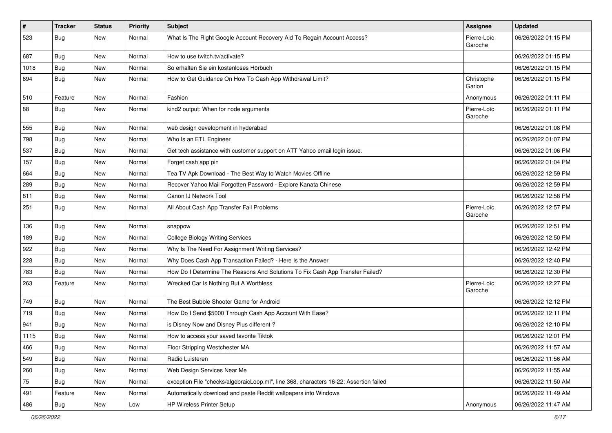| $\pmb{\#}$ | <b>Tracker</b> | <b>Status</b> | <b>Priority</b> | <b>Subject</b>                                                                         | <b>Assignee</b>        | <b>Updated</b>      |
|------------|----------------|---------------|-----------------|----------------------------------------------------------------------------------------|------------------------|---------------------|
| 523        | <b>Bug</b>     | New           | Normal          | What Is The Right Google Account Recovery Aid To Regain Account Access?                | Pierre-Loïc<br>Garoche | 06/26/2022 01:15 PM |
| 687        | Bug            | New           | Normal          | How to use twitch.tv/activate?                                                         |                        | 06/26/2022 01:15 PM |
| 1018       | Bug            | New           | Normal          | So erhalten Sie ein kostenloses Hörbuch                                                |                        | 06/26/2022 01:15 PM |
| 694        | Bug            | New           | Normal          | How to Get Guidance On How To Cash App Withdrawal Limit?                               | Christophe<br>Garion   | 06/26/2022 01:15 PM |
| 510        | Feature        | New           | Normal          | Fashion                                                                                | Anonymous              | 06/26/2022 01:11 PM |
| 88         | <b>Bug</b>     | New           | Normal          | kind2 output: When for node arguments                                                  | Pierre-Loïc<br>Garoche | 06/26/2022 01:11 PM |
| 555        | Bug            | New           | Normal          | web design development in hyderabad                                                    |                        | 06/26/2022 01:08 PM |
| 798        | Bug            | New           | Normal          | Who Is an ETL Engineer                                                                 |                        | 06/26/2022 01:07 PM |
| 537        | <b>Bug</b>     | New           | Normal          | Get tech assistance with customer support on ATT Yahoo email login issue.              |                        | 06/26/2022 01:06 PM |
| 157        | Bug            | New           | Normal          | Forget cash app pin                                                                    |                        | 06/26/2022 01:04 PM |
| 664        | <b>Bug</b>     | New           | Normal          | Tea TV Apk Download - The Best Way to Watch Movies Offline                             |                        | 06/26/2022 12:59 PM |
| 289        | Bug            | New           | Normal          | Recover Yahoo Mail Forgotten Password - Explore Kanata Chinese                         |                        | 06/26/2022 12:59 PM |
| 811        | Bug            | New           | Normal          | Canon IJ Network Tool                                                                  |                        | 06/26/2022 12:58 PM |
| 251        | <b>Bug</b>     | New           | Normal          | All About Cash App Transfer Fail Problems                                              | Pierre-Loïc<br>Garoche | 06/26/2022 12:57 PM |
| 136        | Bug            | New           | Normal          | snappow                                                                                |                        | 06/26/2022 12:51 PM |
| 189        | <b>Bug</b>     | New           | Normal          | <b>College Biology Writing Services</b>                                                |                        | 06/26/2022 12:50 PM |
| 922        | <b>Bug</b>     | New           | Normal          | Why Is The Need For Assignment Writing Services?                                       |                        | 06/26/2022 12:42 PM |
| 228        | <b>Bug</b>     | New           | Normal          | Why Does Cash App Transaction Failed? - Here Is the Answer                             |                        | 06/26/2022 12:40 PM |
| 783        | <b>Bug</b>     | New           | Normal          | How Do I Determine The Reasons And Solutions To Fix Cash App Transfer Failed?          |                        | 06/26/2022 12:30 PM |
| 263        | Feature        | New           | Normal          | Wrecked Car Is Nothing But A Worthless                                                 | Pierre-Loïc<br>Garoche | 06/26/2022 12:27 PM |
| 749        | Bug            | New           | Normal          | The Best Bubble Shooter Game for Android                                               |                        | 06/26/2022 12:12 PM |
| 719        | <b>Bug</b>     | New           | Normal          | How Do I Send \$5000 Through Cash App Account With Ease?                               |                        | 06/26/2022 12:11 PM |
| 941        | <b>Bug</b>     | New           | Normal          | is Disney Now and Disney Plus different?                                               |                        | 06/26/2022 12:10 PM |
| 1115       | <b>Bug</b>     | New           | Normal          | How to access your saved favorite Tiktok                                               |                        | 06/26/2022 12:01 PM |
| 466        | Bug            | New           | Normal          | Floor Stripping Westchester MA                                                         |                        | 06/26/2022 11:57 AM |
| 549        | Bug            | New           | Normal          | Radio Luisteren                                                                        |                        | 06/26/2022 11:56 AM |
| 260        | <b>Bug</b>     | New           | Normal          | Web Design Services Near Me                                                            |                        | 06/26/2022 11:55 AM |
| ${\bf 75}$ | <b>Bug</b>     | New           | Normal          | exception File "checks/algebraicLoop.ml", line 368, characters 16-22: Assertion failed |                        | 06/26/2022 11:50 AM |
| 491        | Feature        | New           | Normal          | Automatically download and paste Reddit wallpapers into Windows                        |                        | 06/26/2022 11:49 AM |
| 486        | Bug            | New           | Low             | HP Wireless Printer Setup                                                              | Anonymous              | 06/26/2022 11:47 AM |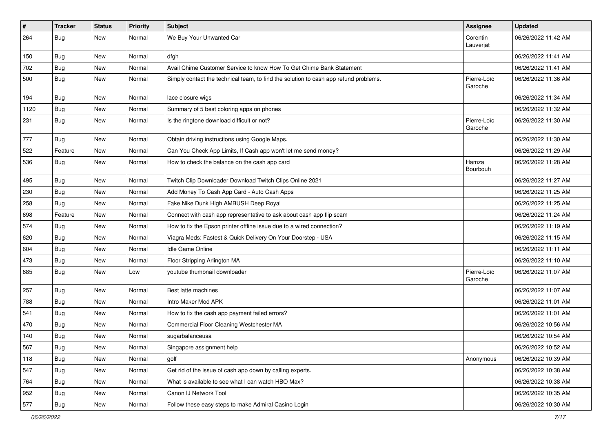| $\pmb{\#}$ | <b>Tracker</b> | <b>Status</b> | <b>Priority</b> | <b>Subject</b>                                                                       | <b>Assignee</b>        | <b>Updated</b>      |
|------------|----------------|---------------|-----------------|--------------------------------------------------------------------------------------|------------------------|---------------------|
| 264        | <b>Bug</b>     | New           | Normal          | We Buy Your Unwanted Car                                                             | Corentin<br>Lauverjat  | 06/26/2022 11:42 AM |
| 150        | Bug            | New           | Normal          | dfgh                                                                                 |                        | 06/26/2022 11:41 AM |
| 702        | <b>Bug</b>     | New           | Normal          | Avail Chime Customer Service to know How To Get Chime Bank Statement                 |                        | 06/26/2022 11:41 AM |
| 500        | <b>Bug</b>     | New           | Normal          | Simply contact the technical team, to find the solution to cash app refund problems. | Pierre-Loïc<br>Garoche | 06/26/2022 11:36 AM |
| 194        | Bug            | New           | Normal          | lace closure wigs                                                                    |                        | 06/26/2022 11:34 AM |
| 1120       | <b>Bug</b>     | New           | Normal          | Summary of 5 best coloring apps on phones                                            |                        | 06/26/2022 11:32 AM |
| 231        | Bug            | New           | Normal          | Is the ringtone download difficult or not?                                           | Pierre-Loïc<br>Garoche | 06/26/2022 11:30 AM |
| 777        | Bug            | New           | Normal          | Obtain driving instructions using Google Maps.                                       |                        | 06/26/2022 11:30 AM |
| 522        | Feature        | New           | Normal          | Can You Check App Limits, If Cash app won't let me send money?                       |                        | 06/26/2022 11:29 AM |
| 536        | <b>Bug</b>     | New           | Normal          | How to check the balance on the cash app card                                        | Hamza<br>Bourbouh      | 06/26/2022 11:28 AM |
| 495        | Bug            | New           | Normal          | Twitch Clip Downloader Download Twitch Clips Online 2021                             |                        | 06/26/2022 11:27 AM |
| 230        | Bug            | New           | Normal          | Add Money To Cash App Card - Auto Cash Apps                                          |                        | 06/26/2022 11:25 AM |
| 258        | <b>Bug</b>     | New           | Normal          | Fake Nike Dunk High AMBUSH Deep Royal                                                |                        | 06/26/2022 11:25 AM |
| 698        | Feature        | New           | Normal          | Connect with cash app representative to ask about cash app flip scam                 |                        | 06/26/2022 11:24 AM |
| 574        | Bug            | New           | Normal          | How to fix the Epson printer offline issue due to a wired connection?                |                        | 06/26/2022 11:19 AM |
| 620        | <b>Bug</b>     | New           | Normal          | Viagra Meds: Fastest & Quick Delivery On Your Doorstep - USA                         |                        | 06/26/2022 11:15 AM |
| 604        | Bug            | New           | Normal          | Idle Game Online                                                                     |                        | 06/26/2022 11:11 AM |
| 473        | <b>Bug</b>     | New           | Normal          | Floor Stripping Arlington MA                                                         |                        | 06/26/2022 11:10 AM |
| 685        | <b>Bug</b>     | New           | Low             | youtube thumbnail downloader                                                         | Pierre-Loïc<br>Garoche | 06/26/2022 11:07 AM |
| 257        | Bug            | New           | Normal          | Best latte machines                                                                  |                        | 06/26/2022 11:07 AM |
| 788        | Bug            | New           | Normal          | Intro Maker Mod APK                                                                  |                        | 06/26/2022 11:01 AM |
| 541        | Bug            | New           | Normal          | How to fix the cash app payment failed errors?                                       |                        | 06/26/2022 11:01 AM |
| 470        | <b>Bug</b>     | New           | Normal          | Commercial Floor Cleaning Westchester MA                                             |                        | 06/26/2022 10:56 AM |
| 140        | <b>Bug</b>     | New           | Normal          | sugarbalanceusa                                                                      |                        | 06/26/2022 10:54 AM |
| 567        | Bug            | New           | Normal          | Singapore assignment help                                                            |                        | 06/26/2022 10:52 AM |
| 118        | Bug            | New           | Normal          | golf                                                                                 | Anonymous              | 06/26/2022 10:39 AM |
| 547        | Bug            | New           | Normal          | Get rid of the issue of cash app down by calling experts.                            |                        | 06/26/2022 10:38 AM |
| 764        | <b>Bug</b>     | New           | Normal          | What is available to see what I can watch HBO Max?                                   |                        | 06/26/2022 10:38 AM |
| 952        | Bug            | New           | Normal          | Canon IJ Network Tool                                                                |                        | 06/26/2022 10:35 AM |
| 577        | <b>Bug</b>     | New           | Normal          | Follow these easy steps to make Admiral Casino Login                                 |                        | 06/26/2022 10:30 AM |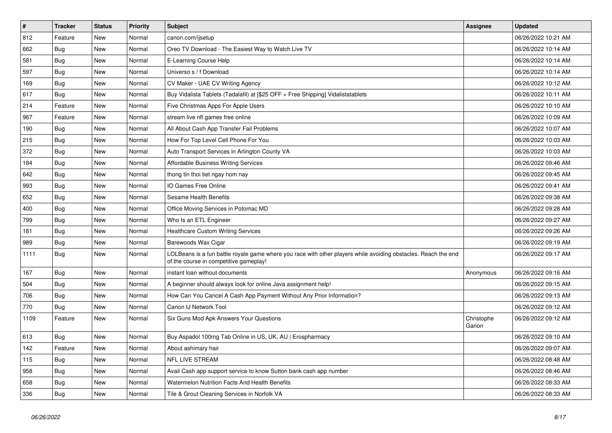| $\vert$ # | <b>Tracker</b> | <b>Status</b> | <b>Priority</b> | <b>Subject</b>                                                                                                                                           | <b>Assignee</b>      | <b>Updated</b>      |
|-----------|----------------|---------------|-----------------|----------------------------------------------------------------------------------------------------------------------------------------------------------|----------------------|---------------------|
| 812       | Feature        | <b>New</b>    | Normal          | canon.com/ijsetup                                                                                                                                        |                      | 06/26/2022 10:21 AM |
| 662       | Bug            | <b>New</b>    | Normal          | Oreo TV Download - The Easiest Way to Watch Live TV                                                                                                      |                      | 06/26/2022 10:14 AM |
| 581       | Bug            | <b>New</b>    | Normal          | E-Learning Course Help                                                                                                                                   |                      | 06/26/2022 10:14 AM |
| 597       | <b>Bug</b>     | <b>New</b>    | Normal          | Universo s / f Download                                                                                                                                  |                      | 06/26/2022 10:14 AM |
| 169       | <b>Bug</b>     | <b>New</b>    | Normal          | CV Maker - UAE CV Writing Agency                                                                                                                         |                      | 06/26/2022 10:12 AM |
| 617       | <b>Bug</b>     | <b>New</b>    | Normal          | Buy Vidalista Tablets (Tadalafil) at [\$25 OFF + Free Shipping] Vidalistatablets                                                                         |                      | 06/26/2022 10:11 AM |
| 214       | Feature        | <b>New</b>    | Normal          | Five Christmas Apps For Apple Users                                                                                                                      |                      | 06/26/2022 10:10 AM |
| 967       | Feature        | New           | Normal          | stream live nfl games free online                                                                                                                        |                      | 06/26/2022 10:09 AM |
| 190       | Bug            | New           | Normal          | All About Cash App Transfer Fail Problems                                                                                                                |                      | 06/26/2022 10:07 AM |
| 215       | Bug            | <b>New</b>    | Normal          | How For Top Level Cell Phone For You                                                                                                                     |                      | 06/26/2022 10:03 AM |
| 372       | Bug            | New           | Normal          | Auto Transport Services in Arlington County VA                                                                                                           |                      | 06/26/2022 10:03 AM |
| 184       | <b>Bug</b>     | New           | Normal          | <b>Affordable Business Writing Services</b>                                                                                                              |                      | 06/26/2022 09:46 AM |
| 642       | Bug            | New           | Normal          | thong tin thoi tiet ngay hom nay                                                                                                                         |                      | 06/26/2022 09:45 AM |
| 993       | <b>Bug</b>     | New           | Normal          | IO Games Free Online                                                                                                                                     |                      | 06/26/2022 09:41 AM |
| 652       | <b>Bug</b>     | New           | Normal          | <b>Sesame Health Benefits</b>                                                                                                                            |                      | 06/26/2022 09:38 AM |
| 400       | <b>Bug</b>     | New           | Normal          | Office Moving Services in Potomac MD                                                                                                                     |                      | 06/26/2022 09:28 AM |
| 799       | <b>Bug</b>     | New           | Normal          | Who Is an ETL Engineer                                                                                                                                   |                      | 06/26/2022 09:27 AM |
| 181       | Bug            | New           | Normal          | <b>Healthcare Custom Writing Services</b>                                                                                                                |                      | 06/26/2022 09:26 AM |
| 989       | Bug            | New           | Normal          | Barewoods Wax Cigar                                                                                                                                      |                      | 06/26/2022 09:19 AM |
| 1111      | Bug            | New           | Normal          | LOLBeans is a fun battle royale game where you race with other players while avoiding obstacles. Reach the end<br>of the course in competitive gameplay! |                      | 06/26/2022 09:17 AM |
| 167       | Bug            | <b>New</b>    | Normal          | instant loan without documents                                                                                                                           | Anonymous            | 06/26/2022 09:16 AM |
| 504       | Bug            | New           | Normal          | A beginner should always look for online Java assignment help!                                                                                           |                      | 06/26/2022 09:15 AM |
| 706       | Bug            | <b>New</b>    | Normal          | How Can You Cancel A Cash App Payment Without Any Prior Information?                                                                                     |                      | 06/26/2022 09:13 AM |
| 770       | Bug            | <b>New</b>    | Normal          | Canon IJ Network Tool                                                                                                                                    |                      | 06/26/2022 09:12 AM |
| 1109      | Feature        | <b>New</b>    | Normal          | Six Guns Mod Apk Answers Your Questions                                                                                                                  | Christophe<br>Garion | 06/26/2022 09:12 AM |
| 613       | <b>Bug</b>     | New           | Normal          | Buy Aspadol 100mg Tab Online in US, UK, AU   Erospharmacy                                                                                                |                      | 06/26/2022 09:10 AM |
| 142       | Feature        | <b>New</b>    | Normal          | About ashimary hair                                                                                                                                      |                      | 06/26/2022 09:07 AM |
| 115       | <b>Bug</b>     | New           | Normal          | NFL LIVE STREAM                                                                                                                                          |                      | 06/26/2022 08:48 AM |
| 958       | Bug            | New           | Normal          | Avail Cash app support service to know Sutton bank cash app number                                                                                       |                      | 06/26/2022 08:46 AM |
| 658       | Bug            | New           | Normal          | Watermelon Nutrition Facts And Health Benefits                                                                                                           |                      | 06/26/2022 08:33 AM |
| 336       | Bug            | New           | Normal          | Tile & Grout Cleaning Services in Norfolk VA                                                                                                             |                      | 06/26/2022 08:33 AM |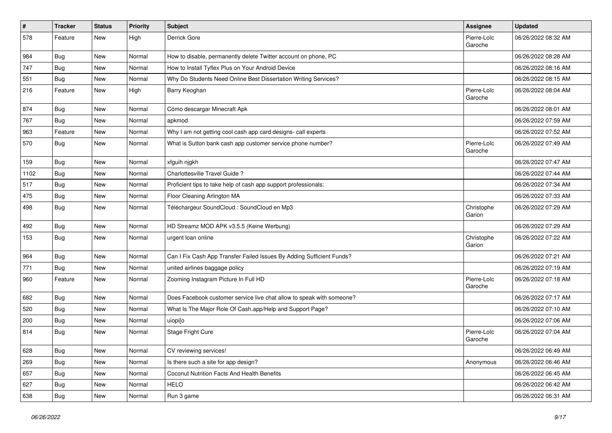| $\pmb{\#}$ | <b>Tracker</b> | <b>Status</b> | <b>Priority</b> | Subject                                                               | <b>Assignee</b>        | <b>Updated</b>      |
|------------|----------------|---------------|-----------------|-----------------------------------------------------------------------|------------------------|---------------------|
| 578        | Feature        | New           | High            | Derrick Gore                                                          | Pierre-Loïc<br>Garoche | 06/26/2022 08:32 AM |
| 984        | Bug            | New           | Normal          | How to disable, permanently delete Twitter account on phone, PC       |                        | 06/26/2022 08:28 AM |
| 747        | <b>Bug</b>     | New           | Normal          | How to Install Tyflex Plus on Your Android Device                     |                        | 06/26/2022 08:16 AM |
| 551        | Bug            | New           | Normal          | Why Do Students Need Online Best Dissertation Writing Services?       |                        | 06/26/2022 08:15 AM |
| 216        | Feature        | New           | High            | Barry Keoghan                                                         | Pierre-Loïc<br>Garoche | 06/26/2022 08:04 AM |
| 874        | <b>Bug</b>     | <b>New</b>    | Normal          | Cómo descargar Minecraft Apk                                          |                        | 06/26/2022 08:01 AM |
| 767        | Bug            | New           | Normal          | apkmod                                                                |                        | 06/26/2022 07:59 AM |
| 963        | Feature        | <b>New</b>    | Normal          | Why I am not getting cool cash app card designs- call experts         |                        | 06/26/2022 07:52 AM |
| 570        | Bug            | New           | Normal          | What is Sutton bank cash app customer service phone number?           | Pierre-Loïc<br>Garoche | 06/26/2022 07:49 AM |
| 159        | <b>Bug</b>     | New           | Normal          | xfguih nigkh                                                          |                        | 06/26/2022 07:47 AM |
| 1102       | <b>Bug</b>     | New           | Normal          | Charlottesville Travel Guide ?                                        |                        | 06/26/2022 07:44 AM |
| 517        | Bug            | New           | Normal          | Proficient tips to take help of cash app support professionals:       |                        | 06/26/2022 07:34 AM |
| 475        | <b>Bug</b>     | New           | Normal          | Floor Cleaning Arlington MA                                           |                        | 06/26/2022 07:33 AM |
| 498        | <b>Bug</b>     | New           | Normal          | Téléchargeur SoundCloud : SoundCloud en Mp3                           | Christophe<br>Garion   | 06/26/2022 07:29 AM |
| 492        | Bug            | New           | Normal          | HD Streamz MOD APK v3.5.5 (Keine Werbung)                             |                        | 06/26/2022 07:29 AM |
| 153        | <b>Bug</b>     | New           | Normal          | urgent loan online                                                    | Christophe<br>Garion   | 06/26/2022 07:22 AM |
| 964        | Bug            | New           | Normal          | Can I Fix Cash App Transfer Failed Issues By Adding Sufficient Funds? |                        | 06/26/2022 07:21 AM |
| 771        | Bug            | New           | Normal          | united airlines baggage policy                                        |                        | 06/26/2022 07:19 AM |
| 960        | Feature        | New           | Normal          | Zooming Instagram Picture In Full HD                                  | Pierre-Loïc<br>Garoche | 06/26/2022 07:18 AM |
| 682        | <b>Bug</b>     | New           | Normal          | Does Facebook customer service live chat allow to speak with someone? |                        | 06/26/2022 07:17 AM |
| 520        | Bug            | New           | Normal          | What Is The Major Role Of Cash.app/Help and Support Page?             |                        | 06/26/2022 07:10 AM |
| 200        | <b>Bug</b>     | New           | Normal          | uiopi[o                                                               |                        | 06/26/2022 07:06 AM |
| 814        | Bug            | New           | Normal          | Stage Fright Cure                                                     | Pierre-Loïc<br>Garoche | 06/26/2022 07:04 AM |
| 628        | <b>Bug</b>     | New           | Normal          | CV reviewing services!                                                |                        | 06/26/2022 06:49 AM |
| 269        | <b>Bug</b>     | New           | Normal          | Is there such a site for app design?                                  | Anonymous              | 06/26/2022 06:46 AM |
| 657        | Bug            | New           | Normal          | Coconut Nutrition Facts And Health Benefits                           |                        | 06/26/2022 06:45 AM |
| 627        | Bug            | New           | Normal          | <b>HELO</b>                                                           |                        | 06/26/2022 06:42 AM |
| 638        | <b>Bug</b>     | New           | Normal          | Run 3 game                                                            |                        | 06/26/2022 06:31 AM |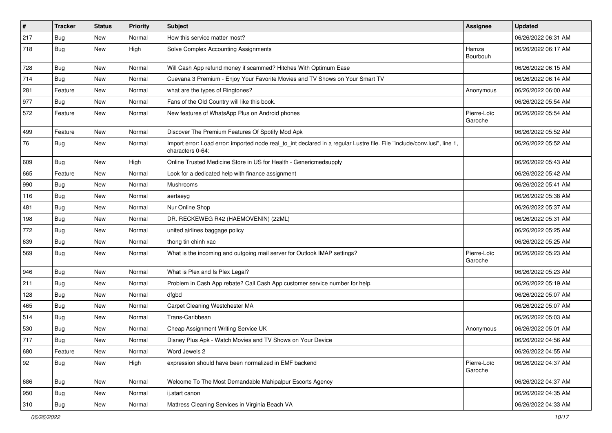| $\vert$ # | <b>Tracker</b> | <b>Status</b> | <b>Priority</b> | <b>Subject</b>                                                                                                                               | Assignee               | <b>Updated</b>      |
|-----------|----------------|---------------|-----------------|----------------------------------------------------------------------------------------------------------------------------------------------|------------------------|---------------------|
| 217       | <b>Bug</b>     | New           | Normal          | How this service matter most?                                                                                                                |                        | 06/26/2022 06:31 AM |
| 718       | <b>Bug</b>     | New           | High            | Solve Complex Accounting Assignments                                                                                                         | Hamza<br>Bourbouh      | 06/26/2022 06:17 AM |
| 728       | <b>Bug</b>     | New           | Normal          | Will Cash App refund money if scammed? Hitches With Optimum Ease                                                                             |                        | 06/26/2022 06:15 AM |
| 714       | Bug            | New           | Normal          | Cuevana 3 Premium - Enjoy Your Favorite Movies and TV Shows on Your Smart TV                                                                 |                        | 06/26/2022 06:14 AM |
| 281       | Feature        | New           | Normal          | what are the types of Ringtones?                                                                                                             | Anonymous              | 06/26/2022 06:00 AM |
| 977       | <b>Bug</b>     | New           | Normal          | Fans of the Old Country will like this book.                                                                                                 |                        | 06/26/2022 05:54 AM |
| 572       | Feature        | New           | Normal          | New features of WhatsApp Plus on Android phones                                                                                              | Pierre-Loïc<br>Garoche | 06/26/2022 05:54 AM |
| 499       | Feature        | New           | Normal          | Discover The Premium Features Of Spotify Mod Apk                                                                                             |                        | 06/26/2022 05:52 AM |
| 76        | Bug            | New           | Normal          | Import error: Load error: imported node real_to_int declared in a regular Lustre file. File "include/conv.lusi", line 1,<br>characters 0-64: |                        | 06/26/2022 05:52 AM |
| 609       | Bug            | New           | High            | Online Trusted Medicine Store in US for Health - Genericmedsupply                                                                            |                        | 06/26/2022 05:43 AM |
| 665       | Feature        | New           | Normal          | Look for a dedicated help with finance assignment                                                                                            |                        | 06/26/2022 05:42 AM |
| 990       | <b>Bug</b>     | New           | Normal          | Mushrooms                                                                                                                                    |                        | 06/26/2022 05:41 AM |
| 116       | Bug            | New           | Normal          | aertaeyg                                                                                                                                     |                        | 06/26/2022 05:38 AM |
| 481       | Bug            | New           | Normal          | Nur Online Shop                                                                                                                              |                        | 06/26/2022 05:37 AM |
| 198       | Bug            | New           | Normal          | DR. RECKEWEG R42 (HAEMOVENIN) (22ML)                                                                                                         |                        | 06/26/2022 05:31 AM |
| 772       | Bug            | New           | Normal          | united airlines baggage policy                                                                                                               |                        | 06/26/2022 05:25 AM |
| 639       | <b>Bug</b>     | <b>New</b>    | Normal          | thong tin chinh xac                                                                                                                          |                        | 06/26/2022 05:25 AM |
| 569       | Bug            | New           | Normal          | What is the incoming and outgoing mail server for Outlook IMAP settings?                                                                     | Pierre-Loïc<br>Garoche | 06/26/2022 05:23 AM |
| 946       | <b>Bug</b>     | New           | Normal          | What is Plex and Is Plex Legal?                                                                                                              |                        | 06/26/2022 05:23 AM |
| 211       | Bug            | New           | Normal          | Problem in Cash App rebate? Call Cash App customer service number for help.                                                                  |                        | 06/26/2022 05:19 AM |
| 128       | Bug            | New           | Normal          | dfgbd                                                                                                                                        |                        | 06/26/2022 05:07 AM |
| 465       | Bug            | New           | Normal          | Carpet Cleaning Westchester MA                                                                                                               |                        | 06/26/2022 05:07 AM |
| 514       | <b>Bug</b>     | New           | Normal          | Trans-Caribbean                                                                                                                              |                        | 06/26/2022 05:03 AM |
| 530       | <b>Bug</b>     | New           | Normal          | Cheap Assignment Writing Service UK                                                                                                          | Anonymous              | 06/26/2022 05:01 AM |
| 717       | <b>Bug</b>     | New           | Normal          | Disney Plus Apk - Watch Movies and TV Shows on Your Device                                                                                   |                        | 06/26/2022 04:56 AM |
| 680       | Feature        | New           | Normal          | Word Jewels 2                                                                                                                                |                        | 06/26/2022 04:55 AM |
| 92        | Bug            | New           | High            | expression should have been normalized in EMF backend                                                                                        | Pierre-Loïc<br>Garoche | 06/26/2022 04:37 AM |
| 686       | Bug            | New           | Normal          | Welcome To The Most Demandable Mahipalpur Escorts Agency                                                                                     |                        | 06/26/2022 04:37 AM |
| 950       | Bug            | New           | Normal          | ij.start canon                                                                                                                               |                        | 06/26/2022 04:35 AM |
| 310       | Bug            | New           | Normal          | Mattress Cleaning Services in Virginia Beach VA                                                                                              |                        | 06/26/2022 04:33 AM |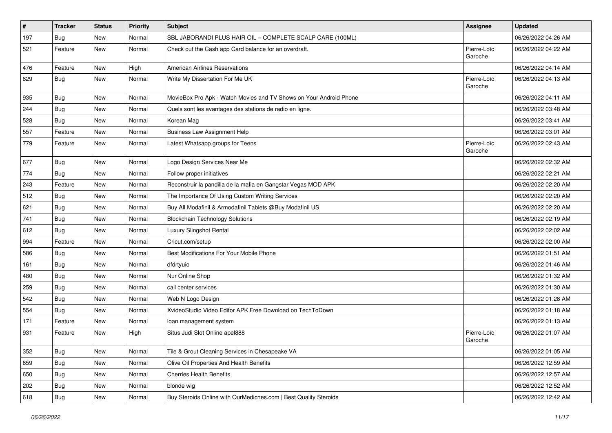| $\pmb{\#}$ | <b>Tracker</b> | <b>Status</b> | <b>Priority</b> | <b>Subject</b>                                                     | <b>Assignee</b>        | <b>Updated</b>      |
|------------|----------------|---------------|-----------------|--------------------------------------------------------------------|------------------------|---------------------|
| 197        | <b>Bug</b>     | New           | Normal          | SBL JABORANDI PLUS HAIR OIL - COMPLETE SCALP CARE (100ML)          |                        | 06/26/2022 04:26 AM |
| 521        | Feature        | New           | Normal          | Check out the Cash app Card balance for an overdraft.              | Pierre-Loïc<br>Garoche | 06/26/2022 04:22 AM |
| 476        | Feature        | New           | High            | <b>American Airlines Reservations</b>                              |                        | 06/26/2022 04:14 AM |
| 829        | <b>Bug</b>     | New           | Normal          | Write My Dissertation For Me UK                                    | Pierre-Loïc<br>Garoche | 06/26/2022 04:13 AM |
| 935        | Bug            | New           | Normal          | MovieBox Pro Apk - Watch Movies and TV Shows on Your Android Phone |                        | 06/26/2022 04:11 AM |
| 244        | <b>Bug</b>     | New           | Normal          | Quels sont les avantages des stations de radio en ligne.           |                        | 06/26/2022 03:48 AM |
| 528        | Bug            | New           | Normal          | Korean Mag                                                         |                        | 06/26/2022 03:41 AM |
| 557        | Feature        | New           | Normal          | <b>Business Law Assignment Help</b>                                |                        | 06/26/2022 03:01 AM |
| 779        | Feature        | New           | Normal          | Latest Whatsapp groups for Teens                                   | Pierre-Loïc<br>Garoche | 06/26/2022 02:43 AM |
| 677        | <b>Bug</b>     | New           | Normal          | Logo Design Services Near Me                                       |                        | 06/26/2022 02:32 AM |
| 774        | Bug            | New           | Normal          | Follow proper initiatives                                          |                        | 06/26/2022 02:21 AM |
| 243        | Feature        | New           | Normal          | Reconstruir la pandilla de la mafia en Gangstar Vegas MOD APK      |                        | 06/26/2022 02:20 AM |
| 512        | <b>Bug</b>     | New           | Normal          | The Importance Of Using Custom Writing Services                    |                        | 06/26/2022 02:20 AM |
| 621        | Bug            | New           | Normal          | Buy All Modafinil & Armodafinil Tablets @Buy Modafinil US          |                        | 06/26/2022 02:20 AM |
| 741        | Bug            | <b>New</b>    | Normal          | <b>Blockchain Technology Solutions</b>                             |                        | 06/26/2022 02:19 AM |
| 612        | Bug            | New           | Normal          | Luxury Slingshot Rental                                            |                        | 06/26/2022 02:02 AM |
| 994        | Feature        | <b>New</b>    | Normal          | Cricut.com/setup                                                   |                        | 06/26/2022 02:00 AM |
| 586        | Bug            | New           | Normal          | Best Modifications For Your Mobile Phone                           |                        | 06/26/2022 01:51 AM |
| 161        | Bug            | New           | Normal          | dfdrtyuio                                                          |                        | 06/26/2022 01:46 AM |
| 480        | Bug            | New           | Normal          | Nur Online Shop                                                    |                        | 06/26/2022 01:32 AM |
| 259        | <b>Bug</b>     | New           | Normal          | call center services                                               |                        | 06/26/2022 01:30 AM |
| 542        | <b>Bug</b>     | New           | Normal          | Web N Logo Design                                                  |                        | 06/26/2022 01:28 AM |
| 554        | <b>Bug</b>     | New           | Normal          | XvideoStudio Video Editor APK Free Download on TechToDown          |                        | 06/26/2022 01:18 AM |
| 171        | Feature        | New           | Normal          | loan management system                                             |                        | 06/26/2022 01:13 AM |
| 931        | Feature        | New           | High            | Situs Judi Slot Online apel888                                     | Pierre-Loïc<br>Garoche | 06/26/2022 01:07 AM |
| 352        | Bug            | New           | Normal          | Tile & Grout Cleaning Services in Chesapeake VA                    |                        | 06/26/2022 01:05 AM |
| 659        | Bug            | New           | Normal          | Olive Oil Properties And Health Benefits                           |                        | 06/26/2022 12:59 AM |
| 650        | <b>Bug</b>     | New           | Normal          | <b>Cherries Health Benefits</b>                                    |                        | 06/26/2022 12:57 AM |
| 202        | <b>Bug</b>     | New           | Normal          | blonde wig                                                         |                        | 06/26/2022 12:52 AM |
| 618        | <b>Bug</b>     | New           | Normal          | Buy Steroids Online with OurMedicnes.com   Best Quality Steroids   |                        | 06/26/2022 12:42 AM |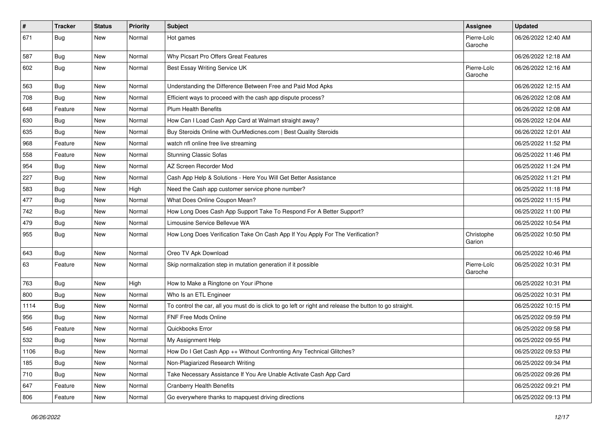| $\pmb{\#}$ | <b>Tracker</b> | <b>Status</b> | <b>Priority</b> | <b>Subject</b>                                                                                          | <b>Assignee</b>        | <b>Updated</b>      |
|------------|----------------|---------------|-----------------|---------------------------------------------------------------------------------------------------------|------------------------|---------------------|
| 671        | <b>Bug</b>     | New           | Normal          | Hot games                                                                                               | Pierre-Loïc<br>Garoche | 06/26/2022 12:40 AM |
| 587        | <b>Bug</b>     | New           | Normal          | Why Picsart Pro Offers Great Features                                                                   |                        | 06/26/2022 12:18 AM |
| 602        | <b>Bug</b>     | New           | Normal          | Best Essay Writing Service UK                                                                           | Pierre-Loïc<br>Garoche | 06/26/2022 12:16 AM |
| 563        | <b>Bug</b>     | New           | Normal          | Understanding the Difference Between Free and Paid Mod Apks                                             |                        | 06/26/2022 12:15 AM |
| 708        | <b>Bug</b>     | New           | Normal          | Efficient ways to proceed with the cash app dispute process?                                            |                        | 06/26/2022 12:08 AM |
| 648        | Feature        | New           | Normal          | <b>Plum Health Benefits</b>                                                                             |                        | 06/26/2022 12:08 AM |
| 630        | Bug            | New           | Normal          | How Can I Load Cash App Card at Walmart straight away?                                                  |                        | 06/26/2022 12:04 AM |
| 635        | Bug            | <b>New</b>    | Normal          | Buy Steroids Online with OurMedicnes.com   Best Quality Steroids                                        |                        | 06/26/2022 12:01 AM |
| 968        | Feature        | New           | Normal          | watch nfl online free live streaming                                                                    |                        | 06/25/2022 11:52 PM |
| 558        | Feature        | New           | Normal          | <b>Stunning Classic Sofas</b>                                                                           |                        | 06/25/2022 11:46 PM |
| 954        | Bug            | New           | Normal          | AZ Screen Recorder Mod                                                                                  |                        | 06/25/2022 11:24 PM |
| 227        | <b>Bug</b>     | New           | Normal          | Cash App Help & Solutions - Here You Will Get Better Assistance                                         |                        | 06/25/2022 11:21 PM |
| 583        | Bug            | New           | High            | Need the Cash app customer service phone number?                                                        |                        | 06/25/2022 11:18 PM |
| 477        | Bug            | New           | Normal          | What Does Online Coupon Mean?                                                                           |                        | 06/25/2022 11:15 PM |
| 742        | <b>Bug</b>     | New           | Normal          | How Long Does Cash App Support Take To Respond For A Better Support?                                    |                        | 06/25/2022 11:00 PM |
| 479        | Bug            | New           | Normal          | Limousine Service Bellevue WA                                                                           |                        | 06/25/2022 10:54 PM |
| 955        | Bug            | New           | Normal          | How Long Does Verification Take On Cash App If You Apply For The Verification?                          | Christophe<br>Garion   | 06/25/2022 10:50 PM |
| 643        | Bug            | <b>New</b>    | Normal          | Oreo TV Apk Download                                                                                    |                        | 06/25/2022 10:46 PM |
| 63         | Feature        | New           | Normal          | Skip normalization step in mutation generation if it possible                                           | Pierre-Loïc<br>Garoche | 06/25/2022 10:31 PM |
| 763        | Bug            | New           | High            | How to Make a Ringtone on Your iPhone                                                                   |                        | 06/25/2022 10:31 PM |
| 800        | <b>Bug</b>     | New           | Normal          | Who Is an ETL Engineer                                                                                  |                        | 06/25/2022 10:31 PM |
| 1114       | Bug            | New           | Normal          | To control the car, all you must do is click to go left or right and release the button to go straight. |                        | 06/25/2022 10:15 PM |
| 956        | <b>Bug</b>     | New           | Normal          | <b>FNF Free Mods Online</b>                                                                             |                        | 06/25/2022 09:59 PM |
| 546        | Feature        | New           | Normal          | Quickbooks Error                                                                                        |                        | 06/25/2022 09:58 PM |
| 532        | <b>Bug</b>     | New           | Normal          | My Assignment Help                                                                                      |                        | 06/25/2022 09:55 PM |
| 1106       | <b>Bug</b>     | New           | Normal          | How Do I Get Cash App ++ Without Confronting Any Technical Glitches?                                    |                        | 06/25/2022 09:53 PM |
| 185        | Bug            | New           | Normal          | Non-Plagiarized Research Writing                                                                        |                        | 06/25/2022 09:34 PM |
| 710        | <b>Bug</b>     | New           | Normal          | Take Necessary Assistance If You Are Unable Activate Cash App Card                                      |                        | 06/25/2022 09:26 PM |
| 647        | Feature        | New           | Normal          | <b>Cranberry Health Benefits</b>                                                                        |                        | 06/25/2022 09:21 PM |
| 806        | Feature        | New           | Normal          | Go everywhere thanks to mapquest driving directions                                                     |                        | 06/25/2022 09:13 PM |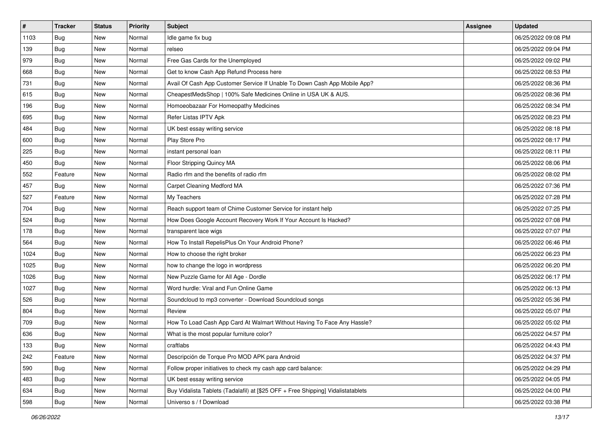| $\vert$ # | <b>Tracker</b> | <b>Status</b> | <b>Priority</b> | Subject                                                                          | <b>Assignee</b> | <b>Updated</b>      |
|-----------|----------------|---------------|-----------------|----------------------------------------------------------------------------------|-----------------|---------------------|
| 1103      | <b>Bug</b>     | New           | Normal          | Idle game fix bug                                                                |                 | 06/25/2022 09:08 PM |
| 139       | <b>Bug</b>     | New           | Normal          | relseo                                                                           |                 | 06/25/2022 09:04 PM |
| 979       | <b>Bug</b>     | New           | Normal          | Free Gas Cards for the Unemployed                                                |                 | 06/25/2022 09:02 PM |
| 668       | <b>Bug</b>     | New           | Normal          | Get to know Cash App Refund Process here                                         |                 | 06/25/2022 08:53 PM |
| 731       | Bug            | New           | Normal          | Avail Of Cash App Customer Service If Unable To Down Cash App Mobile App?        |                 | 06/25/2022 08:36 PM |
| 615       | <b>Bug</b>     | New           | Normal          | CheapestMedsShop   100% Safe Medicines Online in USA UK & AUS.                   |                 | 06/25/2022 08:36 PM |
| 196       | <b>Bug</b>     | New           | Normal          | Homoeobazaar For Homeopathy Medicines                                            |                 | 06/25/2022 08:34 PM |
| 695       | Bug            | New           | Normal          | Refer Listas IPTV Apk                                                            |                 | 06/25/2022 08:23 PM |
| 484       | <b>Bug</b>     | New           | Normal          | UK best essay writing service                                                    |                 | 06/25/2022 08:18 PM |
| 600       | Bug            | New           | Normal          | Play Store Pro                                                                   |                 | 06/25/2022 08:17 PM |
| 225       | <b>Bug</b>     | New           | Normal          | instant personal loan                                                            |                 | 06/25/2022 08:11 PM |
| 450       | Bug            | New           | Normal          | Floor Stripping Quincy MA                                                        |                 | 06/25/2022 08:06 PM |
| 552       | Feature        | New           | Normal          | Radio rfm and the benefits of radio rfm                                          |                 | 06/25/2022 08:02 PM |
| 457       | Bug            | New           | Normal          | Carpet Cleaning Medford MA                                                       |                 | 06/25/2022 07:36 PM |
| 527       | Feature        | New           | Normal          | My Teachers                                                                      |                 | 06/25/2022 07:28 PM |
| 704       | <b>Bug</b>     | New           | Normal          | Reach support team of Chime Customer Service for instant help                    |                 | 06/25/2022 07:25 PM |
| 524       | <b>Bug</b>     | New           | Normal          | How Does Google Account Recovery Work If Your Account Is Hacked?                 |                 | 06/25/2022 07:08 PM |
| 178       | <b>Bug</b>     | New           | Normal          | transparent lace wigs                                                            |                 | 06/25/2022 07:07 PM |
| 564       | <b>Bug</b>     | New           | Normal          | How To Install RepelisPlus On Your Android Phone?                                |                 | 06/25/2022 06:46 PM |
| 1024      | <b>Bug</b>     | New           | Normal          | How to choose the right broker                                                   |                 | 06/25/2022 06:23 PM |
| 1025      | Bug            | New           | Normal          | how to change the logo in wordpress                                              |                 | 06/25/2022 06:20 PM |
| 1026      | <b>Bug</b>     | New           | Normal          | New Puzzle Game for All Age - Dordle                                             |                 | 06/25/2022 06:17 PM |
| 1027      | Bug            | New           | Normal          | Word hurdle: Viral and Fun Online Game                                           |                 | 06/25/2022 06:13 PM |
| 526       | <b>Bug</b>     | New           | Normal          | Soundcloud to mp3 converter - Download Soundcloud songs                          |                 | 06/25/2022 05:36 PM |
| 804       | Bug            | New           | Normal          | Review                                                                           |                 | 06/25/2022 05:07 PM |
| 709       | Bug            | New           | Normal          | How To Load Cash App Card At Walmart Without Having To Face Any Hassle?          |                 | 06/25/2022 05:02 PM |
| 636       | <b>Bug</b>     | New           | Normal          | What is the most popular furniture color?                                        |                 | 06/25/2022 04:57 PM |
| 133       | I Bug          | New           | Normal          | craftlabs                                                                        |                 | 06/25/2022 04:43 PM |
| 242       | Feature        | New           | Normal          | Descripción de Torque Pro MOD APK para Android                                   |                 | 06/25/2022 04:37 PM |
| 590       | Bug            | New           | Normal          | Follow proper initiatives to check my cash app card balance:                     |                 | 06/25/2022 04:29 PM |
| 483       | <b>Bug</b>     | New           | Normal          | UK best essay writing service                                                    |                 | 06/25/2022 04:05 PM |
| 634       | <b>Bug</b>     | New           | Normal          | Buy Vidalista Tablets (Tadalafil) at [\$25 OFF + Free Shipping] Vidalistatablets |                 | 06/25/2022 04:00 PM |
| 598       | <b>Bug</b>     | New           | Normal          | Universo s / f Download                                                          |                 | 06/25/2022 03:38 PM |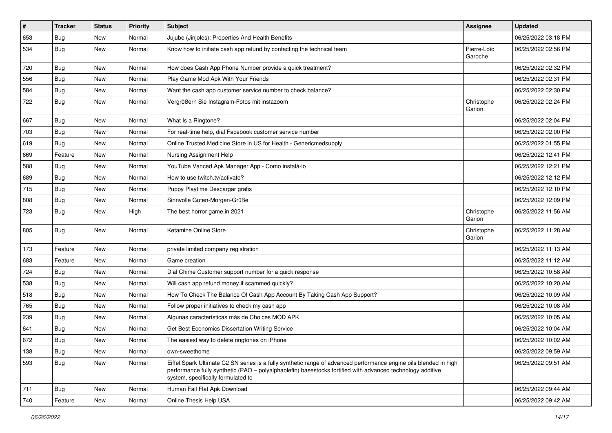| $\vert$ # | <b>Tracker</b> | <b>Status</b> | <b>Priority</b> | Subject                                                                                                                                                                                                                                                               | <b>Assignee</b>        | <b>Updated</b>      |
|-----------|----------------|---------------|-----------------|-----------------------------------------------------------------------------------------------------------------------------------------------------------------------------------------------------------------------------------------------------------------------|------------------------|---------------------|
| 653       | <b>Bug</b>     | New           | Normal          | Jujube (Jinjoles): Properties And Health Benefits                                                                                                                                                                                                                     |                        | 06/25/2022 03:18 PM |
| 534       | <b>Bug</b>     | New           | Normal          | Know how to initiate cash app refund by contacting the technical team                                                                                                                                                                                                 | Pierre-Loïc<br>Garoche | 06/25/2022 02:56 PM |
| 720       | <b>Bug</b>     | New           | Normal          | How does Cash App Phone Number provide a quick treatment?                                                                                                                                                                                                             |                        | 06/25/2022 02:32 PM |
| 556       | Bug            | New           | Normal          | Play Game Mod Apk With Your Friends                                                                                                                                                                                                                                   |                        | 06/25/2022 02:31 PM |
| 584       | Bug            | New           | Normal          | Want the cash app customer service number to check balance?                                                                                                                                                                                                           |                        | 06/25/2022 02:30 PM |
| 722       | <b>Bug</b>     | New           | Normal          | Vergrößern Sie Instagram-Fotos mit instazoom                                                                                                                                                                                                                          | Christophe<br>Garion   | 06/25/2022 02:24 PM |
| 667       | <b>Bug</b>     | New           | Normal          | What Is a Ringtone?                                                                                                                                                                                                                                                   |                        | 06/25/2022 02:04 PM |
| 703       | <b>Bug</b>     | New           | Normal          | For real-time help, dial Facebook customer service number                                                                                                                                                                                                             |                        | 06/25/2022 02:00 PM |
| 619       | Bug            | New           | Normal          | Online Trusted Medicine Store in US for Health - Genericmedsupply                                                                                                                                                                                                     |                        | 06/25/2022 01:55 PM |
| 669       | Feature        | <b>New</b>    | Normal          | Nursing Assignment Help                                                                                                                                                                                                                                               |                        | 06/25/2022 12:41 PM |
| 588       | Bug            | New           | Normal          | YouTube Vanced Apk Manager App - Como instalá-lo                                                                                                                                                                                                                      |                        | 06/25/2022 12:21 PM |
| 689       | <b>Bug</b>     | New           | Normal          | How to use twitch.tv/activate?                                                                                                                                                                                                                                        |                        | 06/25/2022 12:12 PM |
| 715       | Bug            | New           | Normal          | Puppy Playtime Descargar gratis                                                                                                                                                                                                                                       |                        | 06/25/2022 12:10 PM |
| 808       | <b>Bug</b>     | New           | Normal          | Sinnvolle Guten-Morgen-Grüße                                                                                                                                                                                                                                          |                        | 06/25/2022 12:09 PM |
| 723       | <b>Bug</b>     | New           | High            | The best horror game in 2021                                                                                                                                                                                                                                          | Christophe<br>Garion   | 06/25/2022 11:56 AM |
| 805       | Bug            | New           | Normal          | Ketamine Online Store                                                                                                                                                                                                                                                 | Christophe<br>Garion   | 06/25/2022 11:28 AM |
| 173       | Feature        | New           | Normal          | private limited company registration                                                                                                                                                                                                                                  |                        | 06/25/2022 11:13 AM |
| 683       | Feature        | New           | Normal          | Game creation                                                                                                                                                                                                                                                         |                        | 06/25/2022 11:12 AM |
| 724       | Bug            | New           | Normal          | Dial Chime Customer support number for a quick response                                                                                                                                                                                                               |                        | 06/25/2022 10:58 AM |
| 538       | Bug            | New           | Normal          | Will cash app refund money if scammed quickly?                                                                                                                                                                                                                        |                        | 06/25/2022 10:20 AM |
| 518       | Bug            | New           | Normal          | How To Check The Balance Of Cash App Account By Taking Cash App Support?                                                                                                                                                                                              |                        | 06/25/2022 10:09 AM |
| 765       | Bug            | New           | Normal          | Follow proper initiatives to check my cash app                                                                                                                                                                                                                        |                        | 06/25/2022 10:08 AM |
| 239       | <b>Bug</b>     | New           | Normal          | Algunas características más de Choices MOD APK                                                                                                                                                                                                                        |                        | 06/25/2022 10:05 AM |
| 641       | <b>Bug</b>     | New           | Normal          | Get Best Economics Dissertation Writing Service                                                                                                                                                                                                                       |                        | 06/25/2022 10:04 AM |
| 672       | <b>Bug</b>     | New           | Normal          | The easiest way to delete ringtones on iPhone                                                                                                                                                                                                                         |                        | 06/25/2022 10:02 AM |
| 138       | <b>Bug</b>     | New           | Normal          | own-sweethome                                                                                                                                                                                                                                                         |                        | 06/25/2022 09:59 AM |
| 593       | Bug            | New           | Normal          | Eiffel Spark Ultimate C2 SN series is a fully synthetic range of advanced performance engine oils blended in high<br>performance fully synthetic (PAO – polyalphaolefin) basestocks fortified with advanced technology additive<br>system, specifically formulated to |                        | 06/25/2022 09:51 AM |
| 711       | <b>Bug</b>     | New           | Normal          | Human Fall Flat Apk Download                                                                                                                                                                                                                                          |                        | 06/25/2022 09:44 AM |
| 740       | Feature        | New           | Normal          | Online Thesis Help USA                                                                                                                                                                                                                                                |                        | 06/25/2022 09:42 AM |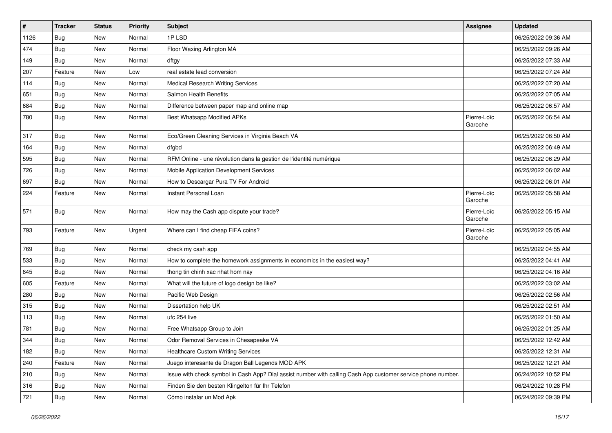| $\pmb{\#}$ | <b>Tracker</b> | <b>Status</b> | <b>Priority</b> | Subject                                                                                                      | <b>Assignee</b>        | <b>Updated</b>      |
|------------|----------------|---------------|-----------------|--------------------------------------------------------------------------------------------------------------|------------------------|---------------------|
| 1126       | <b>Bug</b>     | New           | Normal          | 1PLSD                                                                                                        |                        | 06/25/2022 09:36 AM |
| 474        | <b>Bug</b>     | New           | Normal          | Floor Waxing Arlington MA                                                                                    |                        | 06/25/2022 09:26 AM |
| 149        | <b>Bug</b>     | New           | Normal          | dftgy                                                                                                        |                        | 06/25/2022 07:33 AM |
| 207        | Feature        | New           | Low             | real estate lead conversion                                                                                  |                        | 06/25/2022 07:24 AM |
| 114        | <b>Bug</b>     | New           | Normal          | <b>Medical Research Writing Services</b>                                                                     |                        | 06/25/2022 07:20 AM |
| 651        | <b>Bug</b>     | New           | Normal          | Salmon Health Benefits                                                                                       |                        | 06/25/2022 07:05 AM |
| 684        | <b>Bug</b>     | New           | Normal          | Difference between paper map and online map                                                                  |                        | 06/25/2022 06:57 AM |
| 780        | <b>Bug</b>     | New           | Normal          | Best Whatsapp Modified APKs                                                                                  | Pierre-Loïc<br>Garoche | 06/25/2022 06:54 AM |
| 317        | <b>Bug</b>     | New           | Normal          | Eco/Green Cleaning Services in Virginia Beach VA                                                             |                        | 06/25/2022 06:50 AM |
| 164        | <b>Bug</b>     | New           | Normal          | dfgbd                                                                                                        |                        | 06/25/2022 06:49 AM |
| 595        | Bug            | New           | Normal          | RFM Online - une révolution dans la gestion de l'identité numérique                                          |                        | 06/25/2022 06:29 AM |
| 726        | <b>Bug</b>     | New           | Normal          | Mobile Application Development Services                                                                      |                        | 06/25/2022 06:02 AM |
| 697        | <b>Bug</b>     | New           | Normal          | How to Descargar Pura TV For Android                                                                         |                        | 06/25/2022 06:01 AM |
| 224        | Feature        | New           | Normal          | Instant Personal Loan                                                                                        | Pierre-Loïc<br>Garoche | 06/25/2022 05:58 AM |
| 571        | <b>Bug</b>     | New           | Normal          | How may the Cash app dispute your trade?                                                                     | Pierre-Loïc<br>Garoche | 06/25/2022 05:15 AM |
| 793        | Feature        | New           | Urgent          | Where can I find cheap FIFA coins?                                                                           | Pierre-Loïc<br>Garoche | 06/25/2022 05:05 AM |
| 769        | Bug            | New           | Normal          | check my cash app                                                                                            |                        | 06/25/2022 04:55 AM |
| 533        | Bug            | New           | Normal          | How to complete the homework assignments in economics in the easiest way?                                    |                        | 06/25/2022 04:41 AM |
| 645        | <b>Bug</b>     | New           | Normal          | thong tin chinh xac nhat hom nay                                                                             |                        | 06/25/2022 04:16 AM |
| 605        | Feature        | New           | Normal          | What will the future of logo design be like?                                                                 |                        | 06/25/2022 03:02 AM |
| 280        | <b>Bug</b>     | New           | Normal          | Pacific Web Design                                                                                           |                        | 06/25/2022 02:56 AM |
| 315        | Bug            | New           | Normal          | Dissertation help UK                                                                                         |                        | 06/25/2022 02:51 AM |
| 113        | <b>Bug</b>     | New           | Normal          | ufc 254 live                                                                                                 |                        | 06/25/2022 01:50 AM |
| 781        | Bug            | New           | Normal          | Free Whatsapp Group to Join                                                                                  |                        | 06/25/2022 01:25 AM |
| 344        | <b>Bug</b>     | New           | Normal          | Odor Removal Services in Chesapeake VA                                                                       |                        | 06/25/2022 12:42 AM |
| 182        | <b>Bug</b>     | New           | Normal          | <b>Healthcare Custom Writing Services</b>                                                                    |                        | 06/25/2022 12:31 AM |
| 240        | Feature        | New           | Normal          | Juego interesante de Dragon Ball Legends MOD APK                                                             |                        | 06/25/2022 12:21 AM |
| 210        | <b>Bug</b>     | New           | Normal          | Issue with check symbol in Cash App? Dial assist number with calling Cash App customer service phone number. |                        | 06/24/2022 10:52 PM |
| 316        | <b>Bug</b>     | New           | Normal          | Finden Sie den besten Klingelton für Ihr Telefon                                                             |                        | 06/24/2022 10:28 PM |
| 721        | Bug            | New           | Normal          | Cómo instalar un Mod Apk                                                                                     |                        | 06/24/2022 09:39 PM |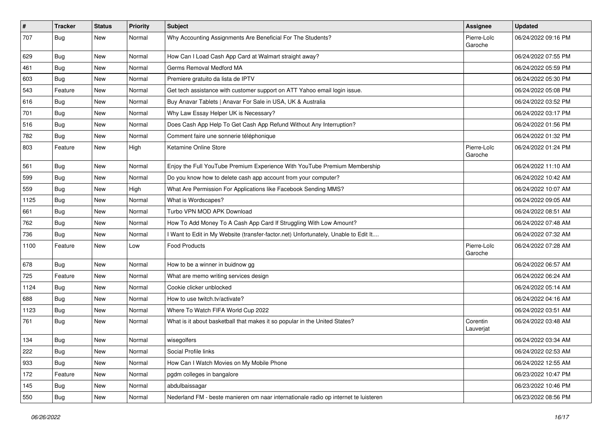| $\vert$ # | <b>Tracker</b> | <b>Status</b> | <b>Priority</b> | Subject                                                                             | Assignee               | <b>Updated</b>      |
|-----------|----------------|---------------|-----------------|-------------------------------------------------------------------------------------|------------------------|---------------------|
| 707       | <b>Bug</b>     | New           | Normal          | Why Accounting Assignments Are Beneficial For The Students?                         | Pierre-Loïc<br>Garoche | 06/24/2022 09:16 PM |
| 629       | <b>Bug</b>     | New           | Normal          | How Can I Load Cash App Card at Walmart straight away?                              |                        | 06/24/2022 07:55 PM |
| 461       | <b>Bug</b>     | New           | Normal          | Germs Removal Medford MA                                                            |                        | 06/24/2022 05:59 PM |
| 603       | Bug            | New           | Normal          | Premiere gratuito da lista de IPTV                                                  |                        | 06/24/2022 05:30 PM |
| 543       | Feature        | New           | Normal          | Get tech assistance with customer support on ATT Yahoo email login issue.           |                        | 06/24/2022 05:08 PM |
| 616       | <b>Bug</b>     | <b>New</b>    | Normal          | Buy Anavar Tablets   Anavar For Sale in USA, UK & Australia                         |                        | 06/24/2022 03:52 PM |
| 701       | <b>Bug</b>     | New           | Normal          | Why Law Essay Helper UK is Necessary?                                               |                        | 06/24/2022 03:17 PM |
| 516       | <b>Bug</b>     | <b>New</b>    | Normal          | Does Cash App Help To Get Cash App Refund Without Any Interruption?                 |                        | 06/24/2022 01:56 PM |
| 782       | Bug            | New           | Normal          | Comment faire une sonnerie téléphonique                                             |                        | 06/24/2022 01:32 PM |
| 803       | Feature        | New           | High            | Ketamine Online Store                                                               | Pierre-Loïc<br>Garoche | 06/24/2022 01:24 PM |
| 561       | Bug            | New           | Normal          | Enjoy the Full YouTube Premium Experience With YouTube Premium Membership           |                        | 06/24/2022 11:10 AM |
| 599       | <b>Bug</b>     | New           | Normal          | Do you know how to delete cash app account from your computer?                      |                        | 06/24/2022 10:42 AM |
| 559       | Bug            | New           | High            | What Are Permission For Applications like Facebook Sending MMS?                     |                        | 06/24/2022 10:07 AM |
| 1125      | Bug            | New           | Normal          | What is Wordscapes?                                                                 |                        | 06/24/2022 09:05 AM |
| 661       | <b>Bug</b>     | New           | Normal          | Turbo VPN MOD APK Download                                                          |                        | 06/24/2022 08:51 AM |
| 762       | Bug            | New           | Normal          | How To Add Money To A Cash App Card If Struggling With Low Amount?                  |                        | 06/24/2022 07:48 AM |
| 736       | <b>Bug</b>     | New           | Normal          | I Want to Edit in My Website (transfer-factor.net) Unfortunately, Unable to Edit It |                        | 06/24/2022 07:32 AM |
| 1100      | Feature        | New           | Low             | <b>Food Products</b>                                                                | Pierre-Loïc<br>Garoche | 06/24/2022 07:28 AM |
| 678       | Bug            | New           | Normal          | How to be a winner in buidnow gg                                                    |                        | 06/24/2022 06:57 AM |
| 725       | Feature        | New           | Normal          | What are memo writing services design                                               |                        | 06/24/2022 06:24 AM |
| 1124      | <b>Bug</b>     | New           | Normal          | Cookie clicker unblocked                                                            |                        | 06/24/2022 05:14 AM |
| 688       | <b>Bug</b>     | New           | Normal          | How to use twitch.tv/activate?                                                      |                        | 06/24/2022 04:16 AM |
| 1123      | Bug            | New           | Normal          | Where To Watch FIFA World Cup 2022                                                  |                        | 06/24/2022 03:51 AM |
| 761       | Bug            | New           | Normal          | What is it about basketball that makes it so popular in the United States?          | Corentin<br>Lauverjat  | 06/24/2022 03:48 AM |
| 134       | <b>Bug</b>     | New           | Normal          | wisegolfers                                                                         |                        | 06/24/2022 03:34 AM |
| 222       | <b>Bug</b>     | New           | Normal          | Social Profile links                                                                |                        | 06/24/2022 02:53 AM |
| 933       | Bug            | New           | Normal          | How Can I Watch Movies on My Mobile Phone                                           |                        | 06/24/2022 12:55 AM |
| 172       | Feature        | New           | Normal          | pgdm colleges in bangalore                                                          |                        | 06/23/2022 10:47 PM |
| 145       | Bug            | New           | Normal          | abdulbaissagar                                                                      |                        | 06/23/2022 10:46 PM |
| 550       | Bug            | New           | Normal          | Nederland FM - beste manieren om naar internationale radio op internet te luisteren |                        | 06/23/2022 08:56 PM |